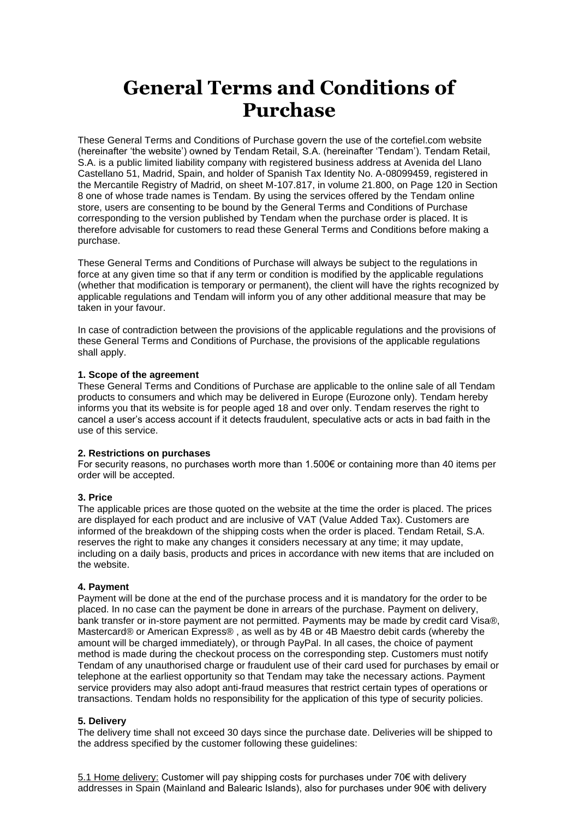# **General Terms and Conditions of Purchase**

These General Terms and Conditions of Purchase govern the use of the cortefiel.com website (hereinafter 'the website') owned by Tendam Retail, S.A. (hereinafter 'Tendam'). Tendam Retail, S.A. is a public limited liability company with registered business address at Avenida del Llano Castellano 51, Madrid, Spain, and holder of Spanish Tax Identity No. A-08099459, registered in the Mercantile Registry of Madrid, on sheet M-107.817, in volume 21.800, on Page 120 in Section 8 one of whose trade names is Tendam. By using the services offered by the Tendam online store, users are consenting to be bound by the General Terms and Conditions of Purchase corresponding to the version published by Tendam when the purchase order is placed. It is therefore advisable for customers to read these General Terms and Conditions before making a purchase.

These General Terms and Conditions of Purchase will always be subject to the regulations in force at any given time so that if any term or condition is modified by the applicable regulations (whether that modification is temporary or permanent), the client will have the rights recognized by applicable regulations and Tendam will inform you of any other additional measure that may be taken in your favour.

In case of contradiction between the provisions of the applicable regulations and the provisions of these General Terms and Conditions of Purchase, the provisions of the applicable regulations shall apply.

## **1. Scope of the agreement**

These General Terms and Conditions of Purchase are applicable to the online sale of all Tendam products to consumers and which may be delivered in Europe (Eurozone only). Tendam hereby informs you that its website is for people aged 18 and over only. Tendam reserves the right to cancel a user's access account if it detects fraudulent, speculative acts or acts in bad faith in the use of this service.

### **2. Restrictions on purchases**

For security reasons, no purchases worth more than 1.500€ or containing more than 40 items per order will be accepted.

# **3. Price**

The applicable prices are those quoted on the website at the time the order is placed. The prices are displayed for each product and are inclusive of VAT (Value Added Tax). Customers are informed of the breakdown of the shipping costs when the order is placed. Tendam Retail, S.A. reserves the right to make any changes it considers necessary at any time; it may update, including on a daily basis, products and prices in accordance with new items that are included on the website.

#### **4. Payment**

Payment will be done at the end of the purchase process and it is mandatory for the order to be placed. In no case can the payment be done in arrears of the purchase. Payment on delivery, bank transfer or in-store payment are not permitted. Payments may be made by credit card Visa®, Mastercard® or American Express® , as well as by 4B or 4B Maestro debit cards (whereby the amount will be charged immediately), or through PayPal. In all cases, the choice of payment method is made during the checkout process on the corresponding step. Customers must notify Tendam of any unauthorised charge or fraudulent use of their card used for purchases by email or telephone at the earliest opportunity so that Tendam may take the necessary actions. Payment service providers may also adopt anti-fraud measures that restrict certain types of operations or transactions. Tendam holds no responsibility for the application of this type of security policies.

#### **5. Delivery**

The delivery time shall not exceed 30 days since the purchase date. Deliveries will be shipped to the address specified by the customer following these guidelines:

5.1 Home delivery: Customer will pay shipping costs for purchases under 70€ with delivery addresses in Spain (Mainland and Balearic Islands), also for purchases under 90€ with delivery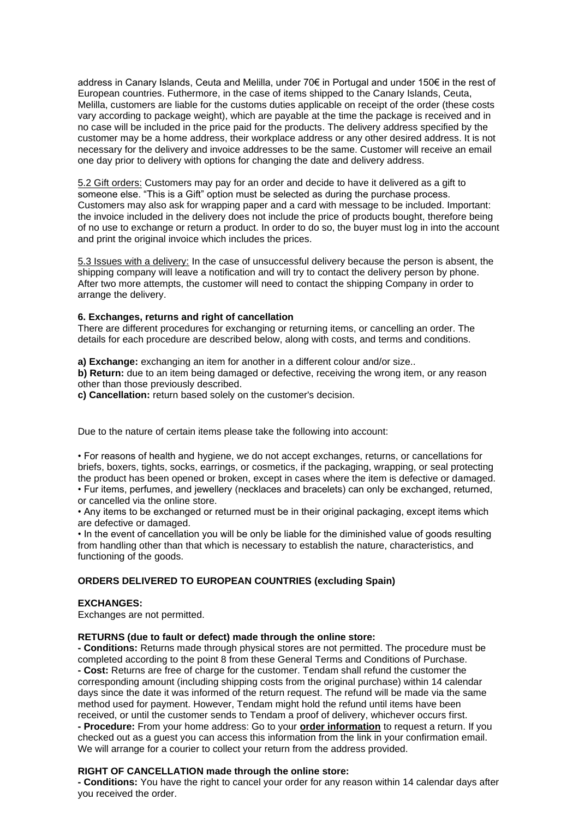address in Canary Islands, Ceuta and Melilla, under 70€ in Portugal and under 150€ in the rest of European countries. Futhermore, in the case of items shipped to the Canary Islands, Ceuta, Melilla, customers are liable for the customs duties applicable on receipt of the order (these costs vary according to package weight), which are payable at the time the package is received and in no case will be included in the price paid for the products. The delivery address specified by the customer may be a home address, their workplace address or any other desired address. It is not necessary for the delivery and invoice addresses to be the same. Customer will receive an email one day prior to delivery with options for changing the date and delivery address.

5.2 Gift orders: Customers may pay for an order and decide to have it delivered as a gift to someone else. "This is a Gift" option must be selected as during the purchase process. Customers may also ask for wrapping paper and a card with message to be included. Important: the invoice included in the delivery does not include the price of products bought, therefore being of no use to exchange or return a product. In order to do so, the buyer must log in into the account and print the original invoice which includes the prices.

5.3 Issues with a delivery: In the case of unsuccessful delivery because the person is absent, the shipping company will leave a notification and will try to contact the delivery person by phone. After two more attempts, the customer will need to contact the shipping Company in order to arrange the delivery.

#### **6. Exchanges, returns and right of cancellation**

There are different procedures for exchanging or returning items, or cancelling an order. The details for each procedure are described below, along with costs, and terms and conditions.

**a) Exchange:** exchanging an item for another in a different colour and/or size..

**b) Return:** due to an item being damaged or defective, receiving the wrong item, or any reason other than those previously described.

**c) Cancellation:** return based solely on the customer's decision.

Due to the nature of certain items please take the following into account:

• For reasons of health and hygiene, we do not accept exchanges, returns, or cancellations for briefs, boxers, tights, socks, earrings, or cosmetics, if the packaging, wrapping, or seal protecting the product has been opened or broken, except in cases where the item is defective or damaged. • Fur items, perfumes, and jewellery (necklaces and bracelets) can only be exchanged, returned,

or cancelled via the online store.

• Any items to be exchanged or returned must be in their original packaging, except items which are defective or damaged.

• In the event of cancellation you will be only be liable for the diminished value of goods resulting from handling other than that which is necessary to establish the nature, characteristics, and functioning of the goods.

### **ORDERS DELIVERED TO EUROPEAN COUNTRIES (excluding Spain)**

#### **EXCHANGES:**

Exchanges are not permitted.

#### **RETURNS (due to fault or defect) made through the online store:**

**- Conditions:** Returns made through physical stores are not permitted. The procedure must be completed according to the point 8 from these General Terms and Conditions of Purchase. **- Cost:** Returns are free of charge for the customer. Tendam shall refund the customer the corresponding amount (including shipping costs from the original purchase) within 14 calendar days since the date it was informed of the return request. The refund will be made via the same method used for payment. However, Tendam might hold the refund until items have been received, or until the customer sends to Tendam a proof of delivery, whichever occurs first. **- Procedure:** From your home address: Go to your **[order information](https://cortefiel.com/at/en/orders)** to request a return. If you checked out as a guest you can access this information from the link in your confirmation email. We will arrange for a courier to collect your return from the address provided.

### **RIGHT OF CANCELLATION made through the online store:**

**- Conditions:** You have the right to cancel your order for any reason within 14 calendar days after you received the order.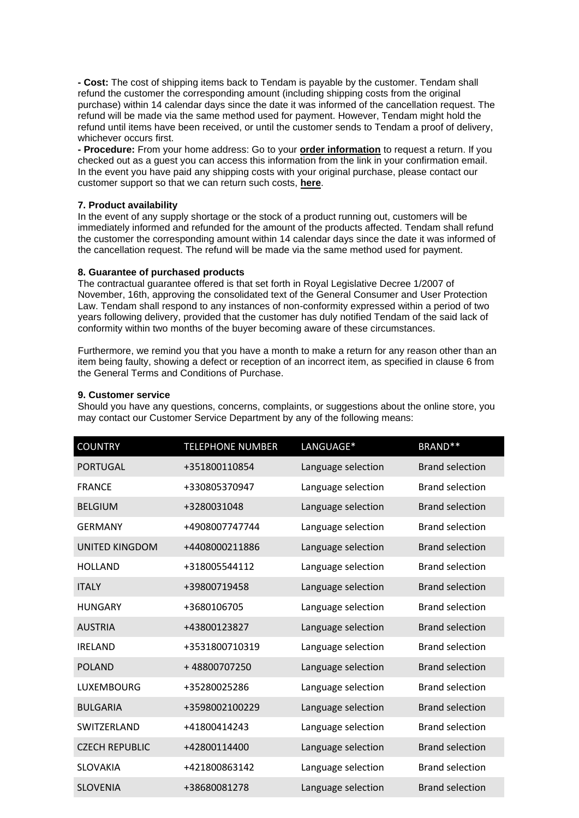**- Cost:** The cost of shipping items back to Tendam is payable by the customer. Tendam shall refund the customer the corresponding amount (including shipping costs from the original purchase) within 14 calendar days since the date it was informed of the cancellation request. The refund will be made via the same method used for payment. However, Tendam might hold the refund until items have been received, or until the customer sends to Tendam a proof of delivery, whichever occurs first.

**- Procedure:** From your home address: Go to your **[order information](https://cortefiel.com/at/en/orders)** to request a return. If you checked out as a guest you can access this information from the link in your confirmation email. In the event you have paid any shipping costs with your original purchase, please contact our customer support so that we can return such costs, **[here](https://cortefiel.com/at/en/contact.html)**.

#### **7. Product availability**

In the event of any supply shortage or the stock of a product running out, customers will be immediately informed and refunded for the amount of the products affected. Tendam shall refund the customer the corresponding amount within 14 calendar days since the date it was informed of the cancellation request. The refund will be made via the same method used for payment.

#### **8. Guarantee of purchased products**

The contractual guarantee offered is that set forth in Royal Legislative Decree 1/2007 of November, 16th, approving the consolidated text of the General Consumer and User Protection Law. Tendam shall respond to any instances of non-conformity expressed within a period of two years following delivery, provided that the customer has duly notified Tendam of the said lack of conformity within two months of the buyer becoming aware of these circumstances.

Furthermore, we remind you that you have a month to make a return for any reason other than an item being faulty, showing a defect or reception of an incorrect item, as specified in clause 6 from the General Terms and Conditions of Purchase.

#### **9. Customer service**

Should you have any questions, concerns, complaints, or suggestions about the online store, you may contact our Customer Service Department by any of the following means:

| <b>COUNTRY</b>        | <b>TELEPHONE NUMBER</b> | LANGUAGE*          | BRAND <sup>**</sup>    |
|-----------------------|-------------------------|--------------------|------------------------|
| <b>PORTUGAL</b>       | +351800110854           | Language selection | <b>Brand selection</b> |
| <b>FRANCE</b>         | +330805370947           | Language selection | <b>Brand selection</b> |
| <b>BELGIUM</b>        | +3280031048             | Language selection | <b>Brand selection</b> |
| <b>GERMANY</b>        | +4908007747744          | Language selection | <b>Brand selection</b> |
| <b>UNITED KINGDOM</b> | +4408000211886          | Language selection | <b>Brand selection</b> |
| <b>HOLLAND</b>        | +318005544112           | Language selection | <b>Brand selection</b> |
| <b>ITALY</b>          | +39800719458            | Language selection | <b>Brand selection</b> |
| <b>HUNGARY</b>        | +3680106705             | Language selection | <b>Brand selection</b> |
| <b>AUSTRIA</b>        | +43800123827            | Language selection | <b>Brand selection</b> |
| <b>IRELAND</b>        | +3531800710319          | Language selection | <b>Brand selection</b> |
| <b>POLAND</b>         | +48800707250            | Language selection | <b>Brand selection</b> |
| <b>LUXEMBOURG</b>     | +35280025286            | Language selection | <b>Brand selection</b> |
| <b>BULGARIA</b>       | +3598002100229          | Language selection | <b>Brand selection</b> |
| SWITZERLAND           | +41800414243            | Language selection | <b>Brand selection</b> |
| <b>CZECH REPUBLIC</b> | +42800114400            | Language selection | <b>Brand selection</b> |
| <b>SLOVAKIA</b>       | +421800863142           | Language selection | <b>Brand selection</b> |
| <b>SLOVENIA</b>       | +38680081278            | Language selection | <b>Brand selection</b> |